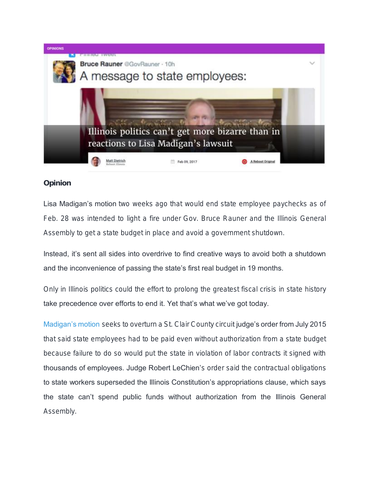

Opinion

Lisa Madigan's motion two weeks ago that would end state employee paychecks as of Feb. 28 was intended to light a fire under Gov. Bruce Rauner and the Illinois General Assembly to get a state budget in place and avoid a government shutdown.

Instead, it's sent all sides into overdrive to find creative ways to avoid both a shutdown and the inconvenience of passing the state's first real budget in 19 months.

Only in Illinois politics could the effort to prolong the greatest fiscal crisis in state history take precedence over efforts to end it. Yet that's what we've got today.

[Madigan's motion](https://rebootillinois.com/2017/01/26/lisa-madigan-sues-halt-paychecks-state-budget/) seeks to overturn a St. Clair County circuit judge's order from July 2015 that said state employees had to be paid even without authorization from a state budget because failure to do so would put the state in violation of labor contracts it signed with thousands of employees. Judge Robert LeChien's order said the contractual obligations to state workers superseded the Illinois Constitution's appropriations clause, which says the state can't spend public funds without authorization from the Illinois General Assembly.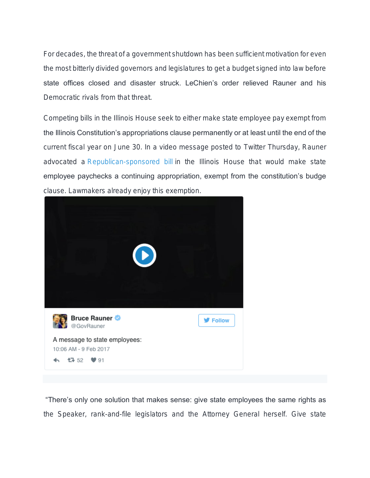For decades, the threat of a government shutdown has been sufficient motivation for even the most bitterly divided governors and legislatures to get a budget signed into law before state offices closed and disaster struck. LeChien's order relieved Rauner and his Democratic rivals from that threat.

Competing bills in the Illinois House seek to either make state employee pay exempt from the Illinois Constitution's appropriations clause permanently or at least until the end of the current fiscal year on June 30. In a video message posted to Twitter Thursday, Rauner advocated a [Republican-sponsored bill](http://www.ilga.gov/legislation/fulltext.asp?DocName=10000HB2803&GA=100&SessionId=91&DocTypeId=HB&LegID=104188&DocNum=2803&GAID=14&Session=) in the Illinois House that would make state employee paychecks a continuing appropriation, exempt from the constitution's budge clause. Lawmakers already enjoy this exemption.



"There's only one solution that makes sense: give state employees the same rights as the Speaker, rank-and-file legislators and the Attorney General herself. Give state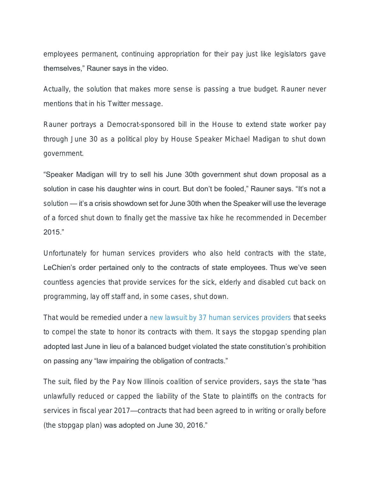employees permanent, continuing appropriation for their pay just like legislators gave themselves," Rauner says in the video.

Actually, the solution that makes more sense is passing a true budget. Rauner never mentions that in his Twitter message.

Rauner portrays a Democrat-sponsored bill in the House to extend state worker pay through June 30 as a political ploy by House Speaker Michael Madigan to shut down government.

"Speaker Madigan will try to sell his June 30th government shut down proposal as a solution in case his daughter wins in court. But don't be fooled," Rauner says. "It's not a solution — it's a crisis showdown set for June 30th when the Speaker will use the leverage of a forced shut down to finally get the massive tax hike he recommended in December 2015."

Unfortunately for human services providers who also held contracts with the state, LeChien's order pertained only to the contracts of state employees. Thus we've seen countless agencies that provide services for the sick, elderly and disabled cut back on programming, lay off staff and, in some cases, shut down.

That would be remedied under a [new lawsuit by 37 human services providers](https://rebootillinois.com/wp-content/uploads/2017/02/Human-Services-lawsuit-2-9-2017.pdf) that seeks to compel the state to honor its contracts with them. It says the stopgap spending plan adopted last June in lieu of a balanced budget violated the state constitution's prohibition on passing any "law impairing the obligation of contracts."

The suit, filed by the Pay Now Illinois coalition of service providers, says the state "has unlawfully reduced or capped the liability of the State to plaintiffs on the contracts for services in fiscal year 2017—contracts that had been agreed to in writing or orally before (the stopgap plan) was adopted on June 30, 2016."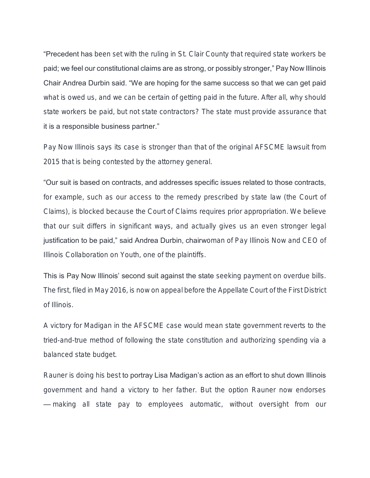**"Precedent has** been set with the ruling in St. Clair County that required state workers be paid; we feel our constitutional claims are as strong, or possibly stronger," Pay Now Illinois Chair Andrea Durbin said. "We are hoping for the same success so that we can get paid what is owed us, and we can be certain of getting paid in the future. After all, why should state workers be paid, but not state contractors? The state must provide assurance that it is a responsible business partner."

Pay Now Illinois says its case is stronger than that of the original AFSCME lawsuit from 2015 that is being contested by the attorney general.

"Our suit is based on contracts, and addresses specific issues related to those contracts, for example, such as our access to the remedy prescribed by state law (the Court of Claims), is blocked because the Court of Claims requires prior appropriation. We believe that our suit differs in significant ways, and actually gives us an even stronger legal justification to be paid," said Andrea Durbin, chairwoman of Pay Illinois Now and CEO of Illinois Collaboration on Youth, one of the plaintiffs.

This is Pay Now Illinois' second suit against the state seeking payment on overdue bills. The first, filed in May 2016, is now on appeal before the Appellate Court of the First District of Illinois.

A victory for Madigan in the AFSCME case would mean state government reverts to the tried-and-true method of following the state constitution and authorizing spending via a balanced state budget.

Rauner is doing his best to portray Lisa Madigan's action as an effort to shut down Illinois government and hand a victory to her father. But the option Rauner now endorses — making all state pay to employees automatic, without oversight from our